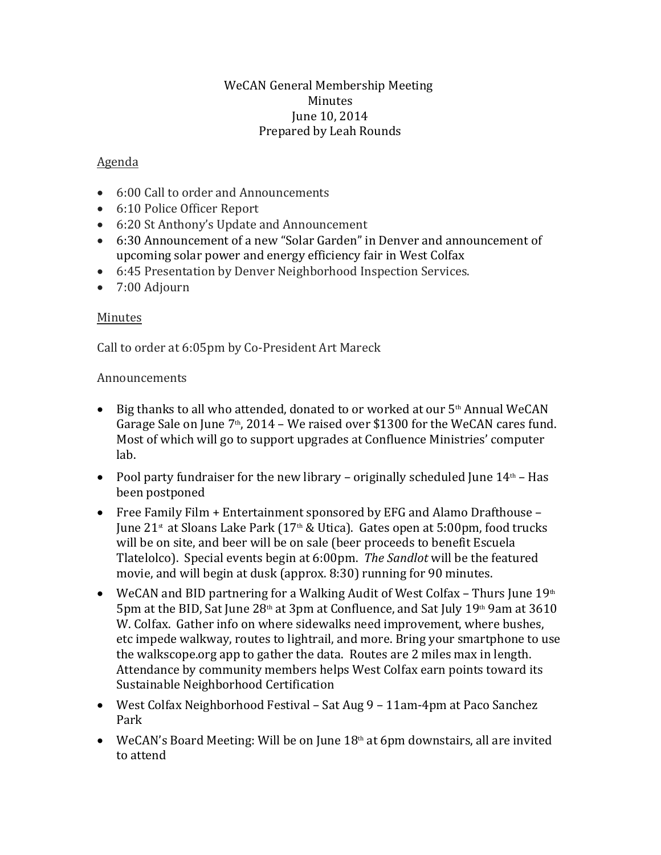### WeCAN General Membership Meeting Minutes June 10, 2014 Prepared by Leah Rounds

### Agenda

- 6:00 Call to order and Announcements
- 6:10 Police Officer Report
- 6:20 St Anthony's Update and Announcement
- 6:30 Announcement of a new "Solar Garden" in Denver and announcement of upcoming solar power and energy efficiency fair in West Colfax
- 6:45 Presentation by Denver Neighborhood Inspection Services.
- 7:00 Adjourn

### Minutes

Call to order at 6:05pm by Co-President Art Mareck

### Announcements

- $\bullet$  Big thanks to all who attended, donated to or worked at our  $5<sup>th</sup>$  Annual WeCAN Garage Sale on June  $7<sup>th</sup>$ , 2014 – We raised over \$1300 for the WeCAN cares fund. Most of which will go to support upgrades at Confluence Ministries' computer lab.
- Pool party fundraiser for the new library originally scheduled June  $14<sup>th</sup>$  Has been postponed
- Free Family Film + Entertainment sponsored by EFG and Alamo Drafthouse June 21<sup>st</sup> at Sloans Lake Park (17<sup>th</sup> & Utica). Gates open at 5:00pm, food trucks will be on site, and beer will be on sale (beer proceeds to benefit Escuela Tlatelolco). Special events begin at 6:00pm. *The Sandlot* will be the featured movie, and will begin at dusk (approx. 8:30) running for 90 minutes.
- WeCAN and BID partnering for a Walking Audit of West Colfax Thurs June  $19<sup>th</sup>$ 5pm at the BID, Sat June  $28<sup>th</sup>$  at 3pm at Confluence, and Sat July 19<sup>th</sup> 9am at 3610 W. Colfax. Gather info on where sidewalks need improvement, where bushes, etc impede walkway, routes to lightrail, and more. Bring your smartphone to use the walkscope.org app to gather the data. Routes are 2 miles max in length. Attendance by community members helps West Colfax earn points toward its Sustainable Neighborhood Certification
- West Colfax Neighborhood Festival Sat Aug 9 11am-4pm at Paco Sanchez Park
- WeCAN's Board Meeting: Will be on June  $18<sup>th</sup>$  at 6pm downstairs, all are invited to attend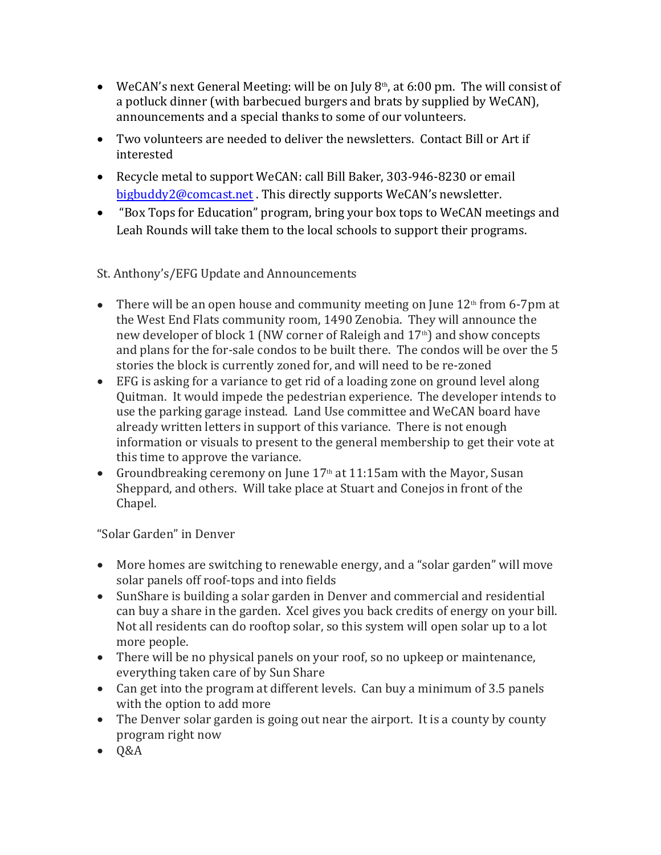- WeCAN's next General Meeting: will be on July  $8<sup>th</sup>$ , at 6:00 pm. The will consist of a potluck dinner (with barbecued burgers and brats by supplied by WeCAN), announcements and a special thanks to some of our volunteers.
- Two volunteers are needed to deliver the newsletters. Contact Bill or Art if interested
- Recycle metal to support WeCAN: call Bill Baker, 303-946-8230 or email [bigbuddy2@comcast.net](mailto:bigbuddy2@comcast.net) . This directly supports WeCAN's newsletter.
- "Box Tops for Education" program, bring your box tops to WeCAN meetings and Leah Rounds will take them to the local schools to support their programs.

# St. Anthony's/EFG Update and Announcements

- There will be an open house and community meeting on June  $12<sup>th</sup>$  from 6-7pm at the West End Flats community room, 1490 Zenobia. They will announce the new developer of block 1 (NW corner of Raleigh and  $17<sup>th</sup>$ ) and show concepts and plans for the for-sale condos to be built there. The condos will be over the 5 stories the block is currently zoned for, and will need to be re-zoned
- EFG is asking for a variance to get rid of a loading zone on ground level along Quitman. It would impede the pedestrian experience. The developer intends to use the parking garage instead. Land Use committee and WeCAN board have already written letters in support of this variance. There is not enough information or visuals to present to the general membership to get their vote at this time to approve the variance.
- Groundbreaking ceremony on June  $17<sup>th</sup>$  at  $11:15$ am with the Mayor, Susan Sheppard, and others. Will take place at Stuart and Conejos in front of the Chapel.

# "Solar Garden" in Denver

- More homes are switching to renewable energy, and a "solar garden" will move solar panels off roof-tops and into fields
- SunShare is building a solar garden in Denver and commercial and residential can buy a share in the garden. Xcel gives you back credits of energy on your bill. Not all residents can do rooftop solar, so this system will open solar up to a lot more people.
- There will be no physical panels on your roof, so no upkeep or maintenance, everything taken care of by Sun Share
- Can get into the program at different levels. Can buy a minimum of 3.5 panels with the option to add more
- The Denver solar garden is going out near the airport. It is a county by county program right now
- $-0&A$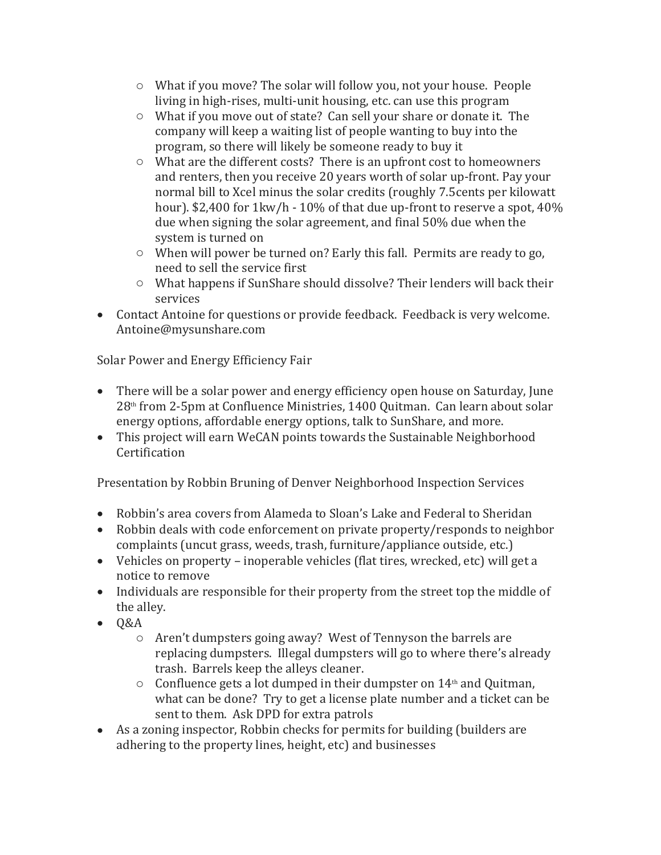- o What if you move? The solar will follow you, not your house. People living in high-rises, multi-unit housing, etc. can use this program
- o What if you move out of state? Can sell your share or donate it. The company will keep a waiting list of people wanting to buy into the program, so there will likely be someone ready to buy it
- o What are the different costs? There is an upfront cost to homeowners and renters, then you receive 20 years worth of solar up-front. Pay your normal bill to Xcel minus the solar credits (roughly 7.5cents per kilowatt hour). \$2,400 for 1kw/h - 10% of that due up-front to reserve a spot, 40% due when signing the solar agreement, and final 50% due when the system is turned on
- o When will power be turned on? Early this fall. Permits are ready to go, need to sell the service first
- o What happens if SunShare should dissolve? Their lenders will back their services
- Contact Antoine for questions or provide feedback. Feedback is very welcome. Antoine@mysunshare.com

Solar Power and Energy Efficiency Fair

- There will be a solar power and energy efficiency open house on Saturday, June 28th from 2-5pm at Confluence Ministries, 1400 Quitman. Can learn about solar energy options, affordable energy options, talk to SunShare, and more.
- This project will earn WeCAN points towards the Sustainable Neighborhood **Certification**

Presentation by Robbin Bruning of Denver Neighborhood Inspection Services

- Robbin's area covers from Alameda to Sloan's Lake and Federal to Sheridan
- Robbin deals with code enforcement on private property/responds to neighbor complaints (uncut grass, weeds, trash, furniture/appliance outside, etc.)
- Vehicles on property inoperable vehicles (flat tires, wrecked, etc) will get a notice to remove
- Individuals are responsible for their property from the street top the middle of the alley.
- $-0&A$ 
	- o Aren't dumpsters going away? West of Tennyson the barrels are replacing dumpsters. Illegal dumpsters will go to where there's already trash. Barrels keep the alleys cleaner.
	- $\circ$  Confluence gets a lot dumped in their dumpster on 14<sup>th</sup> and Quitman, what can be done? Try to get a license plate number and a ticket can be sent to them. Ask DPD for extra patrols
- As a zoning inspector, Robbin checks for permits for building (builders are adhering to the property lines, height, etc) and businesses